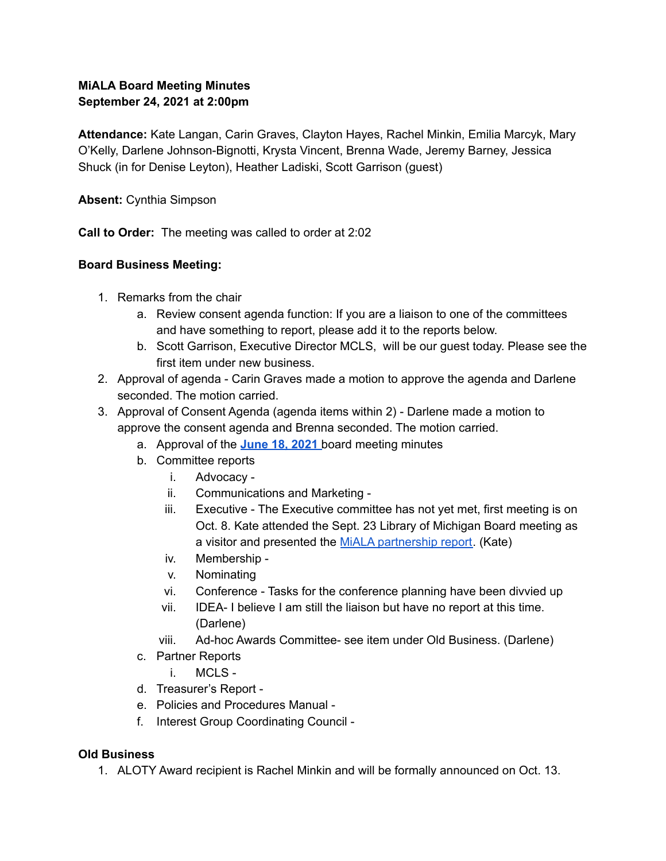# **MiALA Board Meeting Minutes September 24, 2021 at 2:00pm**

**Attendance:** Kate Langan, Carin Graves, Clayton Hayes, Rachel Minkin, Emilia Marcyk, Mary O'Kelly, Darlene Johnson-Bignotti, Krysta Vincent, Brenna Wade, Jeremy Barney, Jessica Shuck (in for Denise Leyton), Heather Ladiski, Scott Garrison (guest)

**Absent:** Cynthia Simpson

**Call to Order:** The meeting was called to order at 2:02

## **Board Business Meeting:**

- 1. Remarks from the chair
	- a. Review consent agenda function: If you are a liaison to one of the committees and have something to report, please add it to the reports below.
	- b. Scott Garrison, Executive Director MCLS, will be our guest today. Please see the first item under new business.
- 2. Approval of agenda Carin Graves made a motion to approve the agenda and Darlene seconded. The motion carried.
- 3. Approval of Consent Agenda (agenda items within 2) Darlene made a motion to approve the consent agenda and Brenna seconded. The motion carried.
	- a. Approval of the **[June](https://docs.google.com/document/d/1fYFMg8V1IZF37JppyiGBo_ZjPE8gfUuwtz8QGVcLt_s/edit) 18, 2021** board meeting minutes
	- b. Committee reports
		- i. Advocacy -
		- ii. Communications and Marketing -
		- iii. Executive The Executive committee has not yet met, first meeting is on Oct. 8. Kate attended the Sept. 23 Library of Michigan Board meeting as a visitor and presented the MiALA [partnership](https://docs.google.com/document/d/1dqkrPZVfBuV6uf59oUpUnlzNyHZcnwDt/edit?usp=sharing&ouid=106998104316807538311&rtpof=true&sd=true) report. (Kate)
		- iv. Membership -
		- v. Nominating
		- vi. Conference Tasks for the conference planning have been divvied up
		- vii. IDEA- I believe I am still the liaison but have no report at this time. (Darlene)
		- viii. Ad-hoc Awards Committee- see item under Old Business. (Darlene)
	- c. Partner Reports
		- i. MCLS -
	- d. Treasurer's Report -
	- e. Policies and Procedures Manual -
	- f. Interest Group Coordinating Council -

## **Old Business**

1. ALOTY Award recipient is Rachel Minkin and will be formally announced on Oct. 13.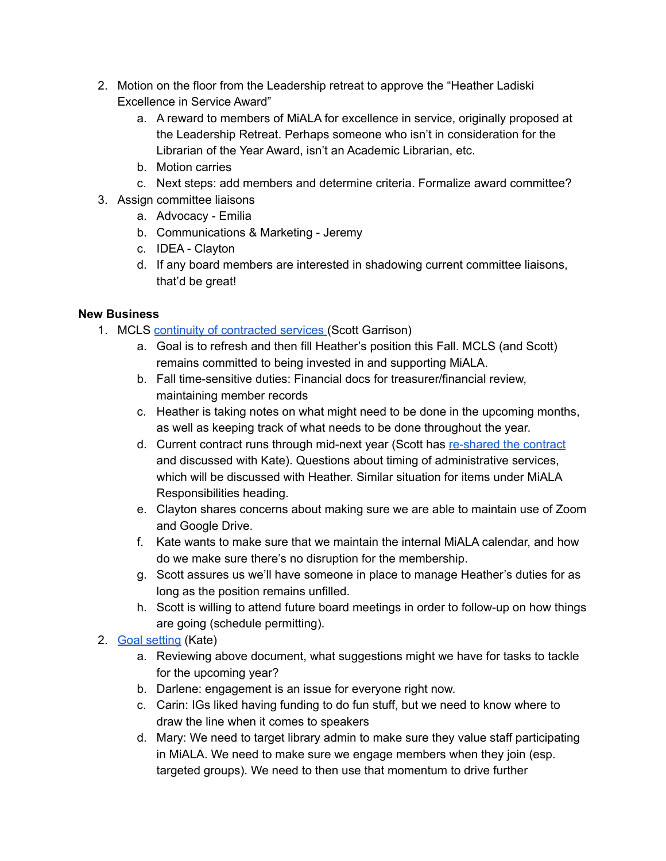- 2. Motion on the floor from the Leadership retreat to approve the "Heather Ladiski Excellence in Service Award"
	- a. A reward to members of MiALA for excellence in service, originally proposed at the Leadership Retreat. Perhaps someone who isn't in consideration for the Librarian of the Year Award, isn't an Academic Librarian, etc.
	- b. Motion carries
	- c. Next steps: add members and determine criteria. Formalize award committee?
- 3. Assign committee liaisons
	- a. Advocacy Emilia
	- b. Communications & Marketing Jeremy
	- c. IDEA Clayton
	- d. If any board members are interested in shadowing current committee liaisons, that'd be great!

## **New Business**

- 1. MCLS continuity of [contracted](https://drive.google.com/file/d/1XS6izJh5AXEf8hSIWdqlvqmghIxbpRiS/view?usp=sharing) services (Scott Garrison)
	- a. Goal is to refresh and then fill Heather's position this Fall. MCLS (and Scott) remains committed to being invested in and supporting MiALA.
	- b. Fall time-sensitive duties: Financial docs for treasurer/financial review, maintaining member records
	- c. Heather is taking notes on what might need to be done in the upcoming months, as well as keeping track of what needs to be done throughout the year.
	- d. Current contract runs through mid-next year (Scott has [re-shared](https://drive.google.com/file/d/1XS6izJh5AXEf8hSIWdqlvqmghIxbpRiS/view) the contract and discussed with Kate). Questions about timing of administrative services, which will be discussed with Heather. Similar situation for items under MiALA Responsibilities heading.
	- e. Clayton shares concerns about making sure we are able to maintain use of Zoom and Google Drive.
	- f. Kate wants to make sure that we maintain the internal MiALA calendar, and how do we make sure there's no disruption for the membership.
	- g. Scott assures us we'll have someone in place to manage Heather's duties for as long as the position remains unfilled.
	- h. Scott is willing to attend future board meetings in order to follow-up on how things are going (schedule permitting).
- 2. Goal [setting](https://docs.google.com/document/d/1BVi-ssa9fVLgiBBefd3Wi8BgmaQx6-GY/edit) (Kate)
	- a. Reviewing above document, what suggestions might we have for tasks to tackle for the upcoming year?
	- b. Darlene: engagement is an issue for everyone right now.
	- c. Carin: IGs liked having funding to do fun stuff, but we need to know where to draw the line when it comes to speakers
	- d. Mary: We need to target library admin to make sure they value staff participating in MiALA. We need to make sure we engage members when they join (esp. targeted groups). We need to then use that momentum to drive further